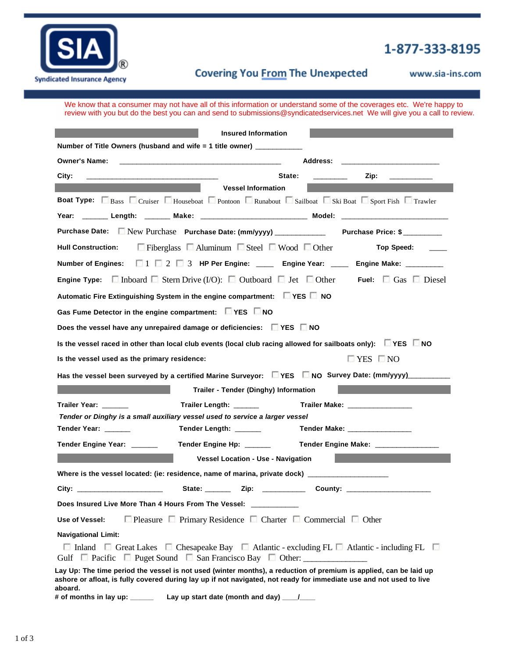

## 1-877-333-8195

## **1309 Bluegrass Parkway LaGrange KY 40031 Box-800-471-800-471-800-471-800-471-800-471-800-471-800-471-800-471-800-471-800-471-800-471-800-471-800-471-800-471-800-471-800-471-800-471-800-471-800-471-800-471-800-471-800-471-800-471-800-471-800-471-800-471-800-471-8**

www.sia-ins.com

We know that a consumer may not have all of this information or understand some of the coverages etc. We're happy to review with you but do the best you can and send to submissions@syndicatedservices.net We will give you a call to review.

|                                                                                                                                                                                                                                          | <b>Insured Information</b>                                                                                                     |                                |                      |  |  |
|------------------------------------------------------------------------------------------------------------------------------------------------------------------------------------------------------------------------------------------|--------------------------------------------------------------------------------------------------------------------------------|--------------------------------|----------------------|--|--|
| Number of Title Owners (husband and wife = 1 title owner) __________                                                                                                                                                                     |                                                                                                                                |                                |                      |  |  |
| <b>Owner's Name:</b>                                                                                                                                                                                                                     | <u> 1990 - Johann Barbara, martin amerikan basar dan berasal dan berasal dalam basar dalam basar dalam basar dala</u>          | <b>Address:</b>                |                      |  |  |
| City:                                                                                                                                                                                                                                    | State:                                                                                                                         |                                | Zip:                 |  |  |
|                                                                                                                                                                                                                                          | <b>Vessel Information</b>                                                                                                      |                                |                      |  |  |
| <b>Boat Type:</b> Bass Cruiser Houseboat Pontoon C Runabout Sailboat Ski Boat Sport Fish T Trawler                                                                                                                                       |                                                                                                                                |                                |                      |  |  |
| Year: _______ Length: _______ Make: ___________________________ Model: ____________________________                                                                                                                                      |                                                                                                                                |                                |                      |  |  |
|                                                                                                                                                                                                                                          | Purchase Date: New Purchase Purchase Date: (mm/yyyy) ______________ Purchase Price: \$                                         |                                |                      |  |  |
|                                                                                                                                                                                                                                          | Hull Construction: $\Box$ Fiberglass $\Box$ Aluminum $\Box$ Steel $\Box$ Wood $\Box$ Other                                     |                                | Top Speed: ____      |  |  |
|                                                                                                                                                                                                                                          | Number of Engines: $\Box$ $\Box$ $\Box$ $\Box$ $\Box$ $\Box$ HP Per Engine: _____ Engine Year: ____ Engine Make: _______       |                                |                      |  |  |
| <b>Engine Type:</b> $\Box$ Inboard $\Box$ Stern Drive (I/O): $\Box$ Outboard $\Box$ Jet $\Box$ Other Fuel: $\Box$ Gas $\Box$ Diesel                                                                                                      |                                                                                                                                |                                |                      |  |  |
| Automatic Fire Extinguishing System in the engine compartment: Fixes Rivo                                                                                                                                                                |                                                                                                                                |                                |                      |  |  |
| Gas Fume Detector in the engine compartment: $\Box$ YES $\Box$ NO                                                                                                                                                                        |                                                                                                                                |                                |                      |  |  |
| Does the vessel have any unrepaired damage or deficiencies: FXES NO                                                                                                                                                                      |                                                                                                                                |                                |                      |  |  |
|                                                                                                                                                                                                                                          | Is the vessel raced in other than local club events (local club racing allowed for sailboats only): $\square$ YES $\square$ NO |                                |                      |  |  |
| Is the vessel used as the primary residence:                                                                                                                                                                                             |                                                                                                                                |                                | $\Box$ YES $\Box$ NO |  |  |
|                                                                                                                                                                                                                                          | Has the vessel been surveyed by a certified Marine Surveyor: Nes No Survey Date: (mm/yyyy)                                     |                                |                      |  |  |
|                                                                                                                                                                                                                                          | <b>Trailer - Tender (Dinghy) Information</b>                                                                                   |                                |                      |  |  |
| Trailer Year: ______                                                                                                                                                                                                                     | Trailer Length: _______                                                                                                        | Trailer Make: ________________ |                      |  |  |
|                                                                                                                                                                                                                                          | Tender or Dinghy is a small auxiliary vessel used to service a larger vessel                                                   |                                |                      |  |  |
| Tender Year: _____                                                                                                                                                                                                                       | Tender Length: ______                                                                                                          | Tender Make: _________________ |                      |  |  |
| Tender Engine Year: ______                                                                                                                                                                                                               |                                                                                                                                |                                |                      |  |  |
|                                                                                                                                                                                                                                          | <b>Vessel Location - Use - Navigation</b>                                                                                      |                                |                      |  |  |
| Where is the vessel located: (ie: residence, name of marina, private dock) _________________                                                                                                                                             |                                                                                                                                |                                |                      |  |  |
| City: the contract of the contract of the contract of the contract of the contract of the contract of the contract of the contract of the contract of the contract of the contract of the contract of the contract of the cont           | State: ________ Zip: _____________ County: _________________________                                                           |                                |                      |  |  |
| Does Insured Live More Than 4 Hours From The Vessel:                                                                                                                                                                                     |                                                                                                                                |                                |                      |  |  |
| $\Box$ Pleasure $\Box$ Primary Residence $\Box$ Charter $\Box$ Commercial $\Box$ Other<br>Use of Vessel:                                                                                                                                 |                                                                                                                                |                                |                      |  |  |
| <b>Navigational Limit:</b>                                                                                                                                                                                                               |                                                                                                                                |                                |                      |  |  |
| $\Box$ Inland $\Box$ Great Lakes $\Box$ Chesapeake Bay $\Box$ Atlantic - excluding FL $\Box$ Atlantic - including FL $\Box$<br>Gulf □ Pacific □ Puget Sound □ San Francisco Bay □ Other: ______________________                          |                                                                                                                                |                                |                      |  |  |
| Lay Up: The time period the vessel is not used (winter months), a reduction of premium is applied, can be laid up<br>ashore or afloat, is fully covered during lay up if not navigated, not ready for immediate use and not used to live |                                                                                                                                |                                |                      |  |  |
| aboard.                                                                                                                                                                                                                                  |                                                                                                                                |                                |                      |  |  |
| # of months in lay up: ___________ Lay up start date (month and day) ____/                                                                                                                                                               |                                                                                                                                |                                |                      |  |  |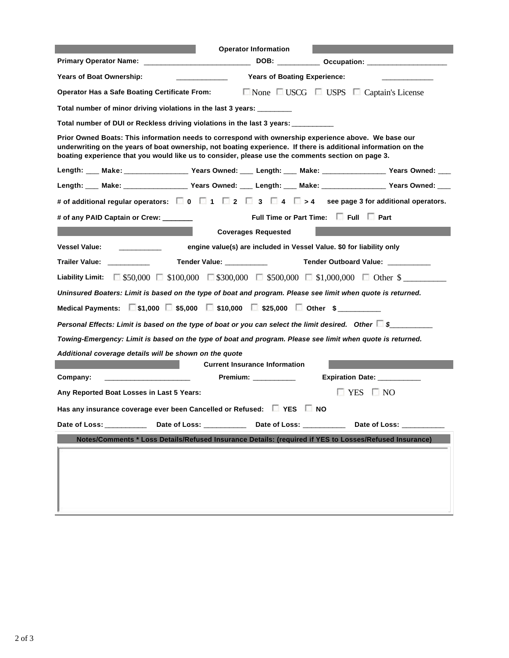|                                                                                                                                                                                                                                                                                                                             | <b>Operator Information</b>            |                                                                                      |  |  |  |  |
|-----------------------------------------------------------------------------------------------------------------------------------------------------------------------------------------------------------------------------------------------------------------------------------------------------------------------------|----------------------------------------|--------------------------------------------------------------------------------------|--|--|--|--|
|                                                                                                                                                                                                                                                                                                                             |                                        |                                                                                      |  |  |  |  |
| <b>Years of Boat Ownership:</b>                                                                                                                                                                                                                                                                                             | <b>Years of Boating Experience:</b>    |                                                                                      |  |  |  |  |
| Operator Has a Safe Boating Certificate From: ■ None ■ USCG ■ USPS ■ Captain's License                                                                                                                                                                                                                                      |                                        |                                                                                      |  |  |  |  |
| Total number of minor driving violations in the last 3 years: ________                                                                                                                                                                                                                                                      |                                        |                                                                                      |  |  |  |  |
| Total number of DUI or Reckless driving violations in the last 3 years: ________                                                                                                                                                                                                                                            |                                        |                                                                                      |  |  |  |  |
| Prior Owned Boats: This information needs to correspond with ownership experience above. We base our<br>underwriting on the years of boat ownership, not boating experience. If there is additional information on the<br>boating experience that you would like us to consider, please use the comments section on page 3. |                                        |                                                                                      |  |  |  |  |
| Length: ___ Make: __________________Years Owned: ____ Length: ___ Make: ________________Years Owned: ___                                                                                                                                                                                                                    |                                        |                                                                                      |  |  |  |  |
| Length: Make: Nake: Nears Owned: Length: Make: Nake: Nake: Nears Owned: Nears Owned:                                                                                                                                                                                                                                        |                                        |                                                                                      |  |  |  |  |
| # of additional regular operators: $\Box$ 0 $\Box$ 1 $\Box$ 2 $\Box$ 3 $\Box$ 4 $\Box$ > 4 see page 3 for additional operators.                                                                                                                                                                                             |                                        |                                                                                      |  |  |  |  |
| # of any PAID Captain or Crew:                                                                                                                                                                                                                                                                                              | Full Time or Part Time: Full Full Part |                                                                                      |  |  |  |  |
|                                                                                                                                                                                                                                                                                                                             | <b>Coverages Requested</b>             |                                                                                      |  |  |  |  |
| <b>Vessel Value:</b><br>engine value(s) are included in Vessel Value. \$0 for liability only                                                                                                                                                                                                                                |                                        |                                                                                      |  |  |  |  |
| Trailer Value: Trailer Value                                                                                                                                                                                                                                                                                                |                                        |                                                                                      |  |  |  |  |
| Liability Limit: $\Box$ \$50,000 $\Box$ \$100,000 $\Box$ \$300,000 $\Box$ \$500,000 $\Box$ \$1,000,000 $\Box$ Other \$                                                                                                                                                                                                      |                                        |                                                                                      |  |  |  |  |
| Uninsured Boaters: Limit is based on the type of boat and program. Please see limit when quote is returned.                                                                                                                                                                                                                 |                                        |                                                                                      |  |  |  |  |
| Medical Payments: $\Box$ \$1,000 $\Box$ \$5,000 $\Box$ \$10,000 $\Box$ \$25,000 $\Box$ Other \$                                                                                                                                                                                                                             |                                        |                                                                                      |  |  |  |  |
| Personal Effects: Limit is based on the type of boat or you can select the limit desired. Other $\square$ \$                                                                                                                                                                                                                |                                        |                                                                                      |  |  |  |  |
| Towing-Emergency: Limit is based on the type of boat and program. Please see limit when quote is returned.                                                                                                                                                                                                                  |                                        |                                                                                      |  |  |  |  |
| Additional coverage details will be shown on the quote                                                                                                                                                                                                                                                                      |                                        |                                                                                      |  |  |  |  |
|                                                                                                                                                                                                                                                                                                                             | <b>Current Insurance Information</b>   |                                                                                      |  |  |  |  |
| Company:                                                                                                                                                                                                                                                                                                                    | Premium: __________                    | <b>Expiration Date:</b>                                                              |  |  |  |  |
| Any Reported Boat Losses in Last 5 Years:                                                                                                                                                                                                                                                                                   |                                        | $\Box$ YES $\Box$ NO                                                                 |  |  |  |  |
| Has any insurance coverage ever been Cancelled or Refused: $\square$ YES $\square$ NO                                                                                                                                                                                                                                       |                                        |                                                                                      |  |  |  |  |
| Date of Loss: __________                                                                                                                                                                                                                                                                                                    |                                        | Date of Loss: _______________ Date of Loss: ______________ Date of Loss: ___________ |  |  |  |  |
| Notes/Comments * Loss Details/Refused Insurance Details: (required if YES to Losses/Refused Insurance)                                                                                                                                                                                                                      |                                        |                                                                                      |  |  |  |  |
|                                                                                                                                                                                                                                                                                                                             |                                        |                                                                                      |  |  |  |  |
|                                                                                                                                                                                                                                                                                                                             |                                        |                                                                                      |  |  |  |  |
|                                                                                                                                                                                                                                                                                                                             |                                        |                                                                                      |  |  |  |  |